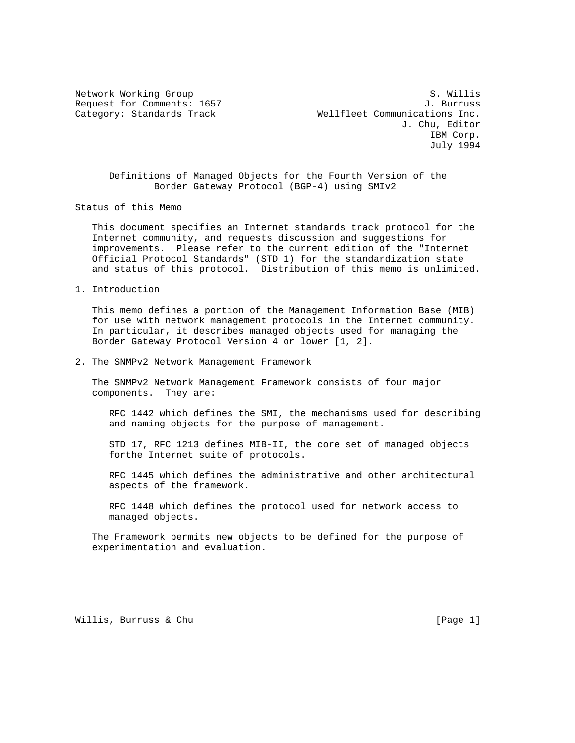Network Working Group S. Willis Request for Comments: 1657 J. Burruss Category: Standards Track Wellfleet Communications Inc. J. Chu, Editor IBM Corp. July 1994

 Definitions of Managed Objects for the Fourth Version of the Border Gateway Protocol (BGP-4) using SMIv2

Status of this Memo

 This document specifies an Internet standards track protocol for the Internet community, and requests discussion and suggestions for improvements. Please refer to the current edition of the "Internet Official Protocol Standards" (STD 1) for the standardization state and status of this protocol. Distribution of this memo is unlimited.

1. Introduction

 This memo defines a portion of the Management Information Base (MIB) for use with network management protocols in the Internet community. In particular, it describes managed objects used for managing the Border Gateway Protocol Version 4 or lower [1, 2].

2. The SNMPv2 Network Management Framework

 The SNMPv2 Network Management Framework consists of four major components. They are:

 RFC 1442 which defines the SMI, the mechanisms used for describing and naming objects for the purpose of management.

 STD 17, RFC 1213 defines MIB-II, the core set of managed objects forthe Internet suite of protocols.

 RFC 1445 which defines the administrative and other architectural aspects of the framework.

 RFC 1448 which defines the protocol used for network access to managed objects.

 The Framework permits new objects to be defined for the purpose of experimentation and evaluation.

Willis, Burruss & Chu **interpretational control** [Page 1]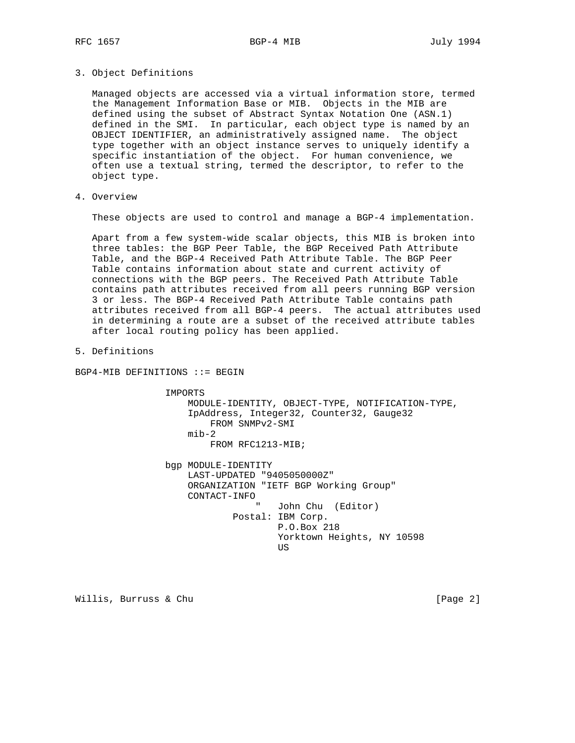3. Object Definitions

 Managed objects are accessed via a virtual information store, termed the Management Information Base or MIB. Objects in the MIB are defined using the subset of Abstract Syntax Notation One (ASN.1) defined in the SMI. In particular, each object type is named by an OBJECT IDENTIFIER, an administratively assigned name. The object type together with an object instance serves to uniquely identify a specific instantiation of the object. For human convenience, we often use a textual string, termed the descriptor, to refer to the object type.

4. Overview

These objects are used to control and manage a BGP-4 implementation.

 Apart from a few system-wide scalar objects, this MIB is broken into three tables: the BGP Peer Table, the BGP Received Path Attribute Table, and the BGP-4 Received Path Attribute Table. The BGP Peer Table contains information about state and current activity of connections with the BGP peers. The Received Path Attribute Table contains path attributes received from all peers running BGP version 3 or less. The BGP-4 Received Path Attribute Table contains path attributes received from all BGP-4 peers. The actual attributes used in determining a route are a subset of the received attribute tables after local routing policy has been applied.

5. Definitions

BGP4-MIB DEFINITIONS ::= BEGIN

 IMPORTS MODULE-IDENTITY, OBJECT-TYPE, NOTIFICATION-TYPE, IpAddress, Integer32, Counter32, Gauge32 FROM SNMPv2-SMI mib-2 FROM RFC1213-MIB; bgp MODULE-IDENTITY LAST-UPDATED "9405050000Z" ORGANIZATION "IETF BGP Working Group"

 CONTACT-INFO John Chu (Editor) Postal: IBM Corp. P.O.Box 218 Yorktown Heights, NY 10598 **US** 

Willis, Burruss & Chu **interpretational control** [Page 2]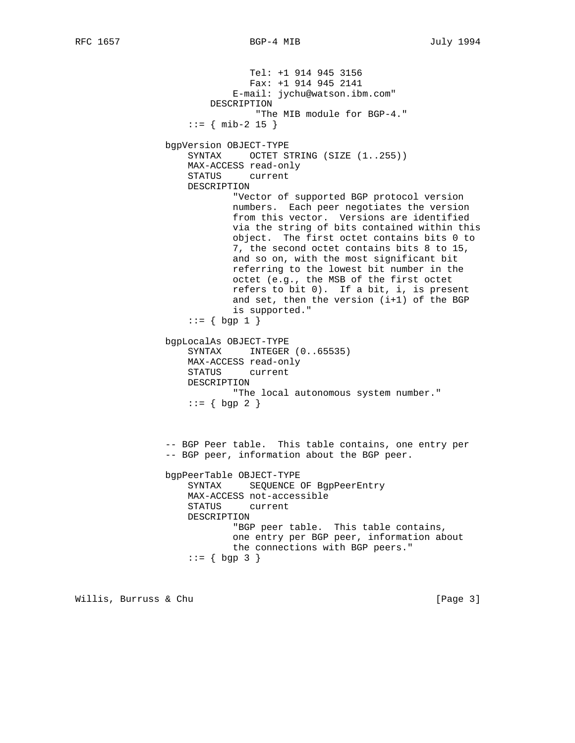```
 Tel: +1 914 945 3156
               Fax: +1 914 945 2141
            E-mail: jychu@watson.ibm.com"
        DESCRIPTION
                 "The MIB module for BGP-4."
   ::= { mib-2 15 }
bgpVersion OBJECT-TYPE
   SYNTAX OCTET STRING (SIZE (1..255))
    MAX-ACCESS read-only
    STATUS current
    DESCRIPTION
            "Vector of supported BGP protocol version
            numbers. Each peer negotiates the version
            from this vector. Versions are identified
            via the string of bits contained within this
            object. The first octet contains bits 0 to
            7, the second octet contains bits 8 to 15,
            and so on, with the most significant bit
            referring to the lowest bit number in the
            octet (e.g., the MSB of the first octet
            refers to bit 0). If a bit, i, is present
            and set, then the version (i+1) of the BGP
            is supported."
   ::= { begin{bmatrix} \text{bgp} & 1 \end{bmatrix} bgpLocalAs OBJECT-TYPE
    SYNTAX INTEGER (0..65535)
    MAX-ACCESS read-only
    STATUS current
    DESCRIPTION
            "The local autonomous system number."
   ::= \{ \text{ bgp } 2 \} -- BGP Peer table. This table contains, one entry per
-- BGP peer, information about the BGP peer.
bgpPeerTable OBJECT-TYPE
    SYNTAX SEQUENCE OF BgpPeerEntry
    MAX-ACCESS not-accessible
    STATUS current
    DESCRIPTION
            "BGP peer table. This table contains,
            one entry per BGP peer, information about
            the connections with BGP peers."
   ::= \{ \text{ bgp } 3 \}
```
Willis, Burruss & Chu **interest and the Church Control** (Page 3)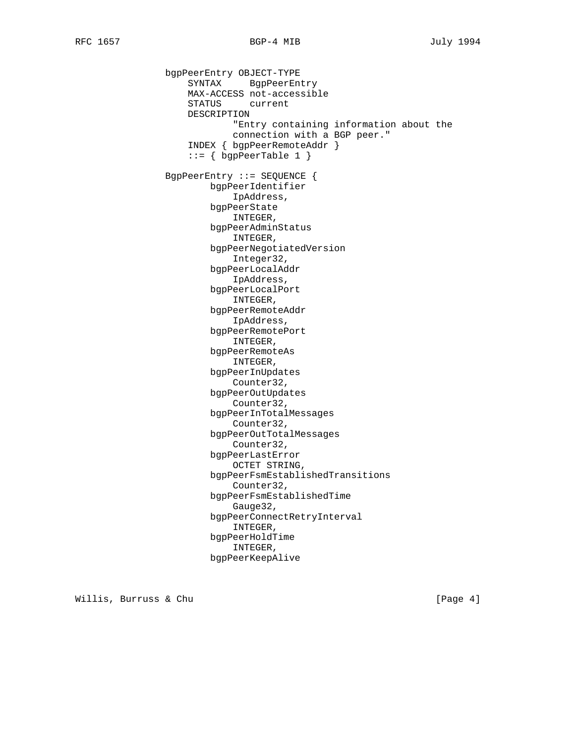bgpPeerEntry OBJECT-TYPE SYNTAX BgpPeerEntry MAX-ACCESS not-accessible STATUS current DESCRIPTION "Entry containing information about the connection with a BGP peer." INDEX { bgpPeerRemoteAddr }  $::=$  { bgpPeerTable 1 } BgpPeerEntry ::= SEQUENCE { bgpPeerIdentifier IpAddress, bgpPeerState INTEGER, bgpPeerAdminStatus INTEGER, bgpPeerNegotiatedVersion Integer32, bgpPeerLocalAddr IpAddress, bgpPeerLocalPort INTEGER, bgpPeerRemoteAddr IpAddress, bgpPeerRemotePort INTEGER, bgpPeerRemoteAs INTEGER, bgpPeerInUpdates Counter32, bgpPeerOutUpdates Counter32, bgpPeerInTotalMessages Counter32, bgpPeerOutTotalMessages Counter32, bgpPeerLastError OCTET STRING, bgpPeerFsmEstablishedTransitions Counter32, bgpPeerFsmEstablishedTime Gauge32, bgpPeerConnectRetryInterval INTEGER, bgpPeerHoldTime INTEGER, bgpPeerKeepAlive

Willis, Burruss & Chu and the control of the control of the control of the control of the control of the control of the control of the control of the control of the control of the control of the control of the control of t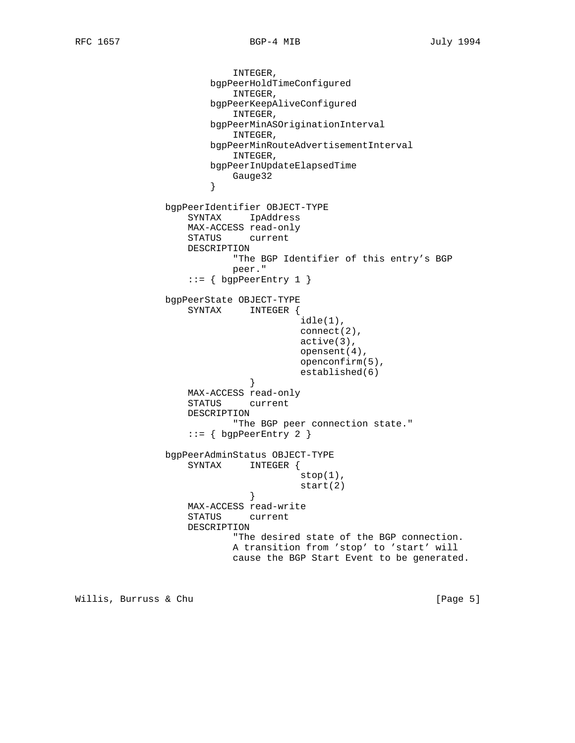```
 INTEGER,
                      bgpPeerHoldTimeConfigured
                          INTEGER,
                      bgpPeerKeepAliveConfigured
                         INTEGER,
                      bgpPeerMinASOriginationInterval
                         INTEGER,
                      bgpPeerMinRouteAdvertisementInterval
                         INTEGER,
                      bgpPeerInUpdateElapsedTime
                     Gauge32
}
              bgpPeerIdentifier OBJECT-TYPE
                  SYNTAX IpAddress
                  MAX-ACCESS read-only
                  STATUS current
                  DESCRIPTION
                         "The BGP Identifier of this entry's BGP
                         peer."
                 ::= { bgpPeerEntry 1 }
              bgpPeerState OBJECT-TYPE
                  SYNTAX INTEGER {
                                     idle(1),
                                     connect(2),
                                     active(3),
                                     opensent(4),
                                     openconfirm(5),
                                     established(6)
}
                  MAX-ACCESS read-only
                  STATUS current
                  DESCRIPTION
                          "The BGP peer connection state."
                  ::= { bgpPeerEntry 2 }
              bgpPeerAdminStatus OBJECT-TYPE
                  SYNTAX INTEGER {
                                     stop(1),
                            start(2)
}
                  MAX-ACCESS read-write
                  STATUS current
                  DESCRIPTION
                          "The desired state of the BGP connection.
                         A transition from 'stop' to 'start' will
                         cause the BGP Start Event to be generated.
```
Willis, Burruss & Chu **interest and the Church Control** (Page 5)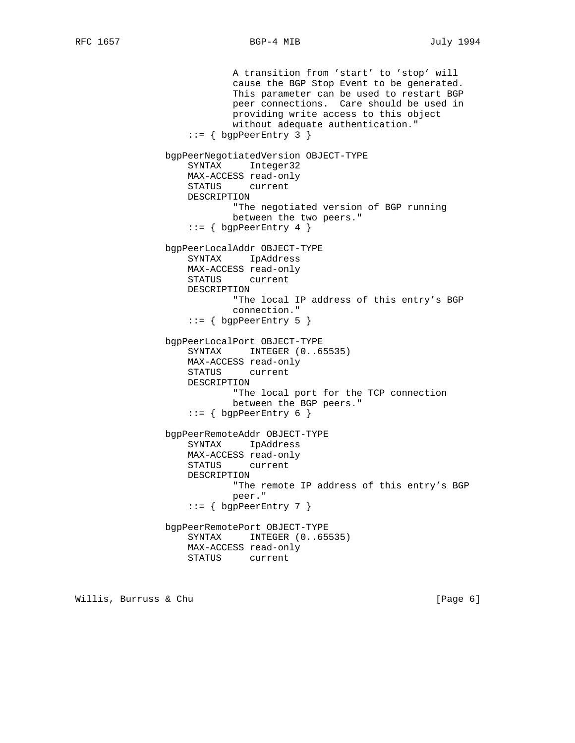A transition from 'start' to 'stop' will cause the BGP Stop Event to be generated. This parameter can be used to restart BGP peer connections. Care should be used in providing write access to this object without adequate authentication." ::= { bgpPeerEntry 3 } bgpPeerNegotiatedVersion OBJECT-TYPE SYNTAX Integer32 MAX-ACCESS read-only STATUS current DESCRIPTION "The negotiated version of BGP running between the two peers."  $::=$  { bgpPeerEntry 4 } bgpPeerLocalAddr OBJECT-TYPE SYNTAX IpAddress MAX-ACCESS read-only STATUS current DESCRIPTION "The local IP address of this entry's BGP connection." ::= { bgpPeerEntry 5 } bgpPeerLocalPort OBJECT-TYPE SYNTAX INTEGER (0..65535) MAX-ACCESS read-only STATUS current DESCRIPTION "The local port for the TCP connection between the BGP peers."  $::=$  { bqpPeerEntry 6 } bgpPeerRemoteAddr OBJECT-TYPE SYNTAX IpAddress MAX-ACCESS read-only STATUS current DESCRIPTION "The remote IP address of this entry's BGP peer."  $::=$  { bgpPeerEntry 7 } bgpPeerRemotePort OBJECT-TYPE SYNTAX INTEGER (0..65535) MAX-ACCESS read-only STATUS current

Willis, Burruss & Chu **interest and the Church Control** (Page 6)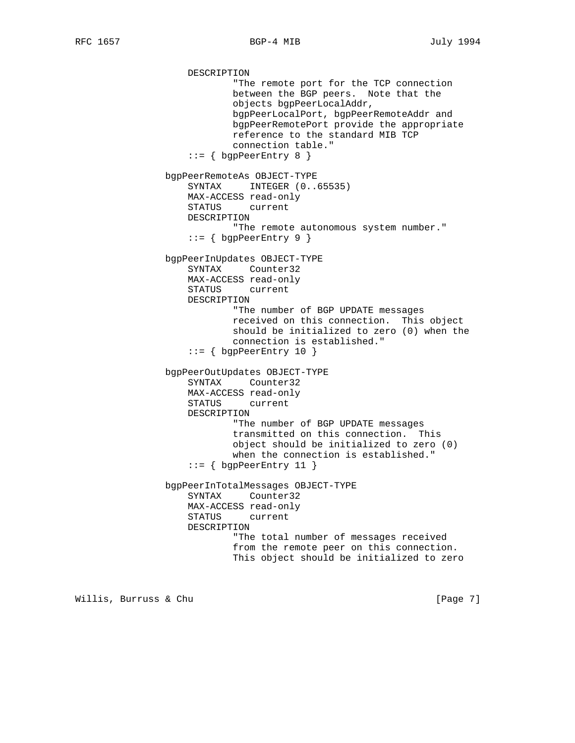DESCRIPTION "The remote port for the TCP connection between the BGP peers. Note that the objects bgpPeerLocalAddr, bgpPeerLocalPort, bgpPeerRemoteAddr and bgpPeerRemotePort provide the appropriate reference to the standard MIB TCP connection table." ::= { bgpPeerEntry 8 } bgpPeerRemoteAs OBJECT-TYPE SYNTAX INTEGER (0..65535) MAX-ACCESS read-only STATUS current DESCRIPTION "The remote autonomous system number."  $::=$  { bgpPeerEntry 9 } bgpPeerInUpdates OBJECT-TYPE SYNTAX Counter32 MAX-ACCESS read-only STATUS current DESCRIPTION "The number of BGP UPDATE messages received on this connection. This object should be initialized to zero (0) when the connection is established." ::= { bgpPeerEntry 10 } bgpPeerOutUpdates OBJECT-TYPE SYNTAX Counter32 MAX-ACCESS read-only STATUS current DESCRIPTION "The number of BGP UPDATE messages transmitted on this connection. This object should be initialized to zero (0) when the connection is established." ::= { bgpPeerEntry 11 } bgpPeerInTotalMessages OBJECT-TYPE SYNTAX Counter32 MAX-ACCESS read-only STATUS current DESCRIPTION "The total number of messages received from the remote peer on this connection. This object should be initialized to zero

Willis, Burruss & Chu **interest and the Church Control** (Page 7)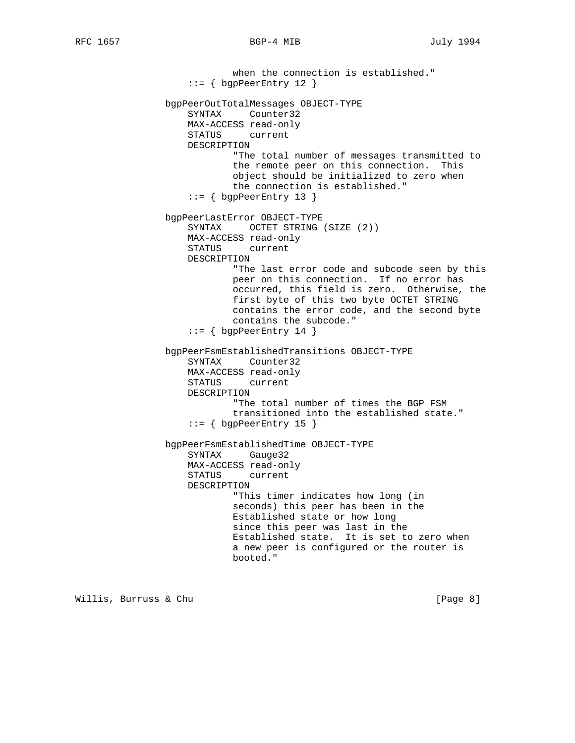## RFC 1657 BGP-4 MIB July 1994

 when the connection is established."  $::=$  { bgpPeerEntry 12 } bgpPeerOutTotalMessages OBJECT-TYPE SYNTAX Counter32 MAX-ACCESS read-only STATUS current DESCRIPTION "The total number of messages transmitted to the remote peer on this connection. This object should be initialized to zero when the connection is established."  $::=$  { bqpPeerEntry 13 } bgpPeerLastError OBJECT-TYPE SYNTAX OCTET STRING (SIZE (2)) MAX-ACCESS read-only STATUS current DESCRIPTION "The last error code and subcode seen by this peer on this connection. If no error has occurred, this field is zero. Otherwise, the first byte of this two byte OCTET STRING contains the error code, and the second byte contains the subcode."  $::=$  { bgpPeerEntry 14 } bgpPeerFsmEstablishedTransitions OBJECT-TYPE SYNTAX Counter32 MAX-ACCESS read-only STATUS current DESCRIPTION "The total number of times the BGP FSM transitioned into the established state."  $::= \{$  bgpPeerEntry 15 } bgpPeerFsmEstablishedTime OBJECT-TYPE SYNTAX Gauge32 MAX-ACCESS read-only STATUS current DESCRIPTION "This timer indicates how long (in seconds) this peer has been in the Established state or how long since this peer was last in the Established state. It is set to zero when a new peer is configured or the router is booted."

Willis, Burruss & Chu **interest and the Church Control** control of the entriest of  $[Page 8]$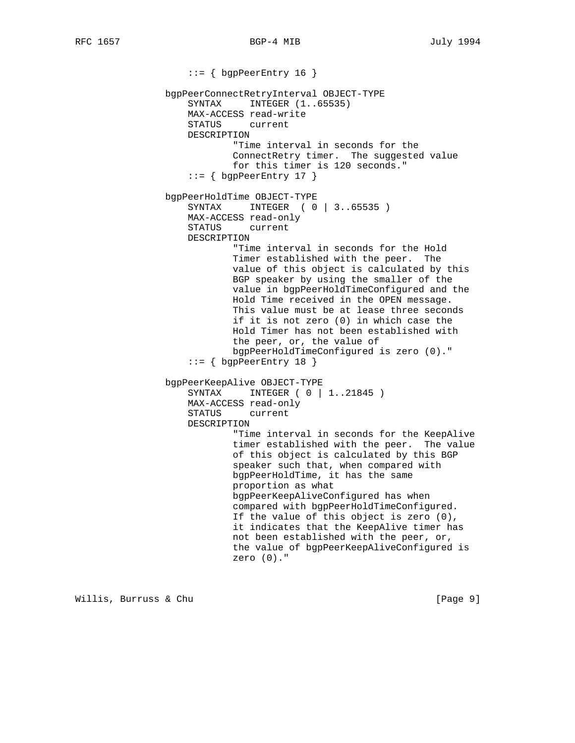::= { bgpPeerEntry 16 } bgpPeerConnectRetryInterval OBJECT-TYPE SYNTAX INTEGER (1..65535) MAX-ACCESS read-write STATUS current DESCRIPTION "Time interval in seconds for the ConnectRetry timer. The suggested value for this timer is 120 seconds."  $::=$  { bgpPeerEntry 17 } bgpPeerHoldTime OBJECT-TYPE SYNTAX INTEGER ( 0 | 3..65535 ) MAX-ACCESS read-only STATUS current DESCRIPTION "Time interval in seconds for the Hold Timer established with the peer. The value of this object is calculated by this BGP speaker by using the smaller of the value in bgpPeerHoldTimeConfigured and the Hold Time received in the OPEN message. This value must be at lease three seconds if it is not zero (0) in which case the Hold Timer has not been established with the peer, or, the value of bgpPeerHoldTimeConfigured is zero (0)." ::= { bgpPeerEntry 18 } bgpPeerKeepAlive OBJECT-TYPE SYNTAX INTEGER ( 0 | 1..21845 ) MAX-ACCESS read-only STATUS current DESCRIPTION "Time interval in seconds for the KeepAlive timer established with the peer. The value of this object is calculated by this BGP speaker such that, when compared with bgpPeerHoldTime, it has the same proportion as what bgpPeerKeepAliveConfigured has when compared with bgpPeerHoldTimeConfigured. If the value of this object is zero (0), it indicates that the KeepAlive timer has not been established with the peer, or, the value of bgpPeerKeepAliveConfigured is zero (0)."

Willis, Burruss & Chu **interpretational control** [Page 9]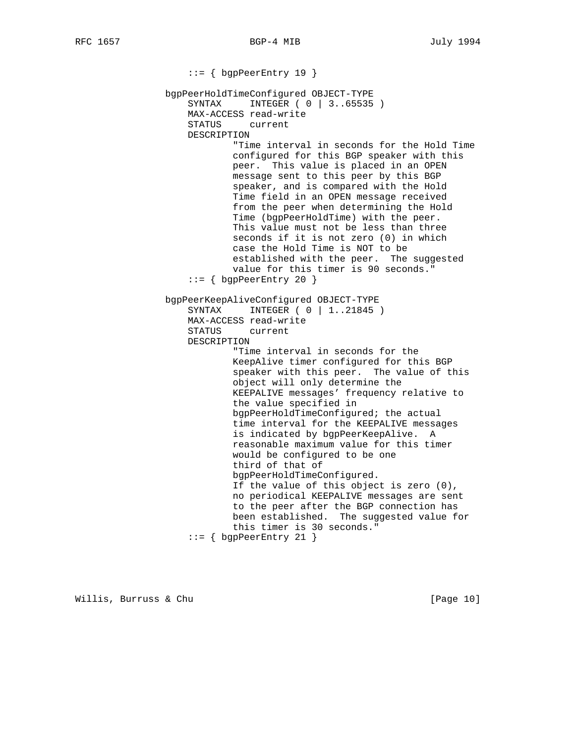::= { bgpPeerEntry 19 } bgpPeerHoldTimeConfigured OBJECT-TYPE SYNTAX INTEGER ( 0 | 3..65535 ) MAX-ACCESS read-write STATUS current DESCRIPTION "Time interval in seconds for the Hold Time configured for this BGP speaker with this peer. This value is placed in an OPEN message sent to this peer by this BGP speaker, and is compared with the Hold Time field in an OPEN message received from the peer when determining the Hold Time (bgpPeerHoldTime) with the peer. This value must not be less than three seconds if it is not zero (0) in which case the Hold Time is NOT to be established with the peer. The suggested value for this timer is 90 seconds." ::= { bgpPeerEntry 20 } bgpPeerKeepAliveConfigured OBJECT-TYPE SYNTAX INTEGER ( 0 | 1..21845 ) MAX-ACCESS read-write STATUS current DESCRIPTION "Time interval in seconds for the KeepAlive timer configured for this BGP speaker with this peer. The value of this object will only determine the KEEPALIVE messages' frequency relative to the value specified in bgpPeerHoldTimeConfigured; the actual time interval for the KEEPALIVE messages is indicated by bgpPeerKeepAlive. A reasonable maximum value for this timer would be configured to be one third of that of bgpPeerHoldTimeConfigured. If the value of this object is zero (0), no periodical KEEPALIVE messages are sent to the peer after the BGP connection has been established. The suggested value for this timer is 30 seconds."  $::=$  { bgpPeerEntry 21 }

Willis, Burruss & Chu **interpretational control** [Page 10]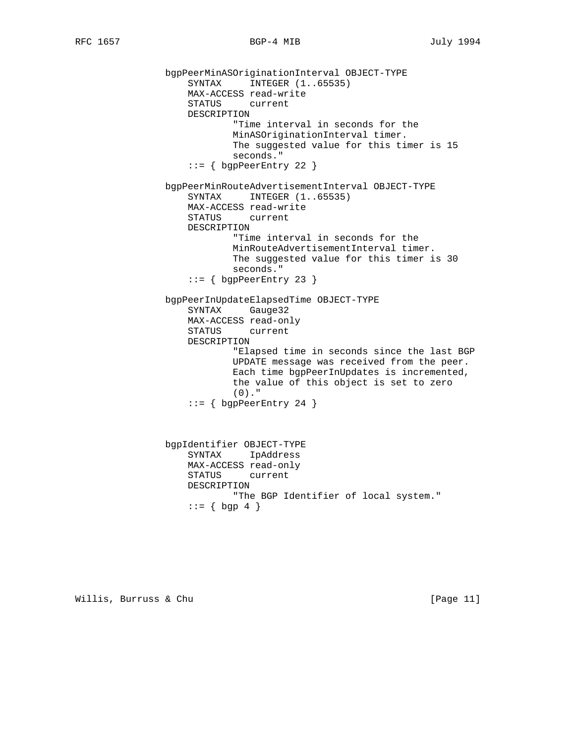```
 bgpPeerMinASOriginationInterval OBJECT-TYPE
    SYNTAX INTEGER (1..65535)
    MAX-ACCESS read-write
    STATUS current
   DESCRIPTION
            "Time interval in seconds for the
            MinASOriginationInterval timer.
            The suggested value for this timer is 15
            seconds."
    ::= { bgpPeerEntry 22 }
bgpPeerMinRouteAdvertisementInterval OBJECT-TYPE
   SYNTAX INTEGER (1..65535)
    MAX-ACCESS read-write
    STATUS current
   DESCRIPTION
            "Time interval in seconds for the
            MinRouteAdvertisementInterval timer.
            The suggested value for this timer is 30
            seconds."
    ::= { bgpPeerEntry 23 }
bgpPeerInUpdateElapsedTime OBJECT-TYPE
    SYNTAX Gauge32
   MAX-ACCESS read-only
   STATUS current
   DESCRIPTION
            "Elapsed time in seconds since the last BGP
            UPDATE message was received from the peer.
            Each time bgpPeerInUpdates is incremented,
            the value of this object is set to zero
            (0)."
    ::= { bgpPeerEntry 24 }
bgpIdentifier OBJECT-TYPE
    SYNTAX IpAddress
    MAX-ACCESS read-only
    STATUS current
   DESCRIPTION
            "The BGP Identifier of local system."
   ::= \{ \text{ bgp } 4 \}
```
Willis, Burruss & Chu [Page 11]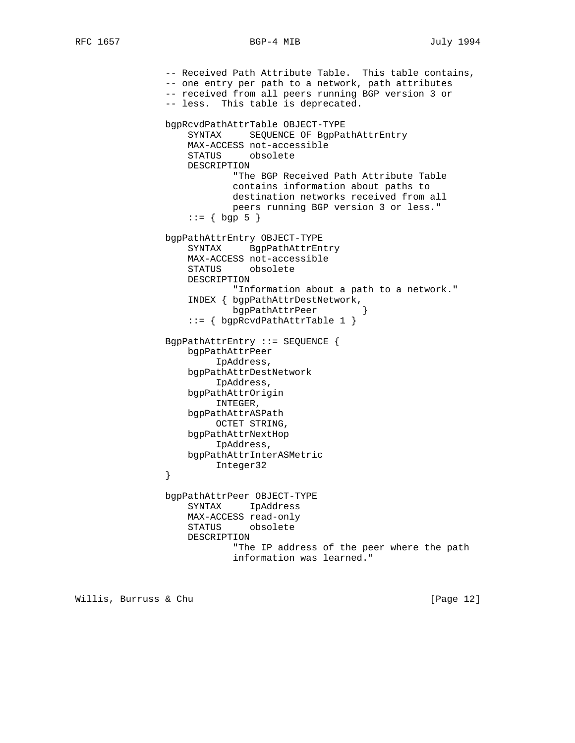## RFC 1657 BGP-4 MIB July 1994

```
 -- Received Path Attribute Table. This table contains,
                -- one entry per path to a network, path attributes
                -- received from all peers running BGP version 3 or
                -- less. This table is deprecated.
                bgpRcvdPathAttrTable OBJECT-TYPE
                    SYNTAX SEQUENCE OF BgpPathAttrEntry
                    MAX-ACCESS not-accessible
                    STATUS obsolete
                    DESCRIPTION
                            "The BGP Received Path Attribute Table
                            contains information about paths to
                            destination networks received from all
                            peers running BGP version 3 or less."
                   : := \{ \text{bgp } 5 \} bgpPathAttrEntry OBJECT-TYPE
                    SYNTAX BgpPathAttrEntry
                    MAX-ACCESS not-accessible
                    STATUS obsolete
                    DESCRIPTION
                            "Information about a path to a network."
                   INDEX { bgpPathAttrDestNetwork,<br>bgpPathAttrPeer }
                            bgpPathAttrPeer }
                    ::= { bgpRcvdPathAttrTable 1 }
                BgpPathAttrEntry ::= SEQUENCE {
                    bgpPathAttrPeer
                         IpAddress,
                    bgpPathAttrDestNetwork
                         IpAddress,
                    bgpPathAttrOrigin
                         INTEGER,
                    bgpPathAttrASPath
                         OCTET STRING,
                    bgpPathAttrNextHop
                         IpAddress,
                    bgpPathAttrInterASMetric
                Integer32
}
                bgpPathAttrPeer OBJECT-TYPE
                    SYNTAX IpAddress
                    MAX-ACCESS read-only
                    STATUS obsolete
                    DESCRIPTION
                            "The IP address of the peer where the path
                            information was learned."
```
Willis, Burruss & Chu [Page 12]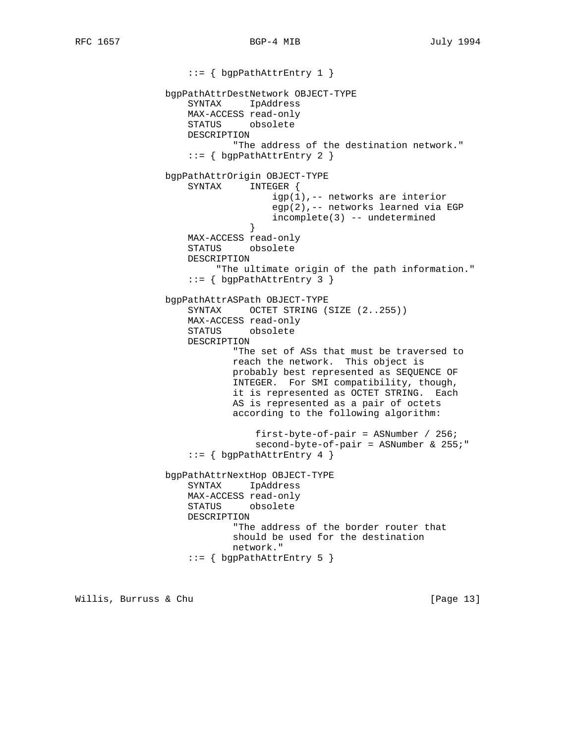::= { bgpPathAttrEntry 1 } bgpPathAttrDestNetwork OBJECT-TYPE SYNTAX IpAddress MAX-ACCESS read-only STATUS obsolete DESCRIPTION "The address of the destination network." ::= { bgpPathAttrEntry 2 } bgpPathAttrOrigin OBJECT-TYPE SYNTAX INTEGER { igp(1),-- networks are interior egp(2),-- networks learned via EGP incomplete(3) -- undetermined } } MAX-ACCESS read-only STATUS obsolete DESCRIPTION "The ultimate origin of the path information." ::= { bgpPathAttrEntry 3 } bgpPathAttrASPath OBJECT-TYPE SYNTAX OCTET STRING (SIZE (2..255)) MAX-ACCESS read-only STATUS obsolete DESCRIPTION "The set of ASs that must be traversed to reach the network. This object is probably best represented as SEQUENCE OF INTEGER. For SMI compatibility, though, it is represented as OCTET STRING. Each AS is represented as a pair of octets according to the following algorithm: first-byte-of-pair = ASNumber / 256; second-byte-of-pair = ASNumber & 255;"  $::=$  { bgpPathAttrEntry 4 } bgpPathAttrNextHop OBJECT-TYPE SYNTAX IpAddress MAX-ACCESS read-only STATUS obsolete DESCRIPTION "The address of the border router that should be used for the destination network." ::= { bgpPathAttrEntry 5 }

Willis, Burruss & Chu **interpretational control** [Page 13]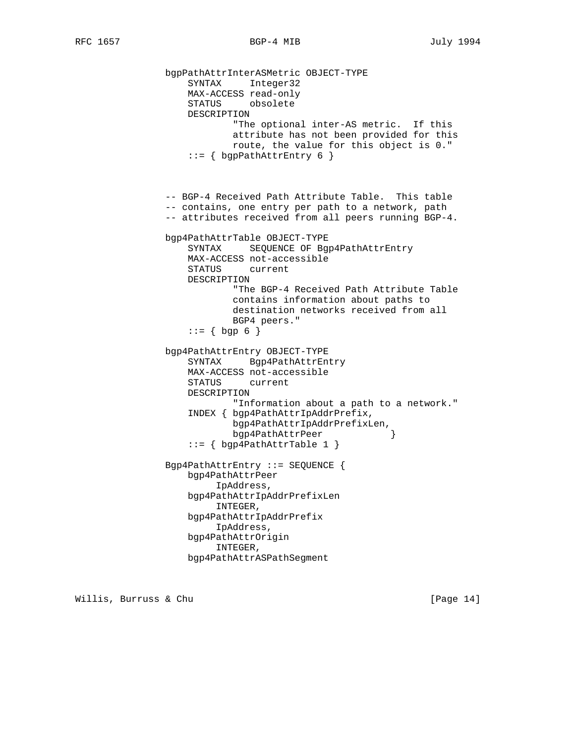```
 bgpPathAttrInterASMetric OBJECT-TYPE
    SYNTAX Integer32
    MAX-ACCESS read-only
    STATUS obsolete
   DESCRIPTION
            "The optional inter-AS metric. If this
            attribute has not been provided for this
            route, the value for this object is 0."
    ::= { bgpPathAttrEntry 6 }
-- BGP-4 Received Path Attribute Table. This table
-- contains, one entry per path to a network, path
-- attributes received from all peers running BGP-4.
bgp4PathAttrTable OBJECT-TYPE
    SYNTAX SEQUENCE OF Bgp4PathAttrEntry
   MAX-ACCESS not-accessible
   STATUS current
   DESCRIPTION
            "The BGP-4 Received Path Attribute Table
            contains information about paths to
            destination networks received from all
           BGP4 peers."
   ::= \{ \text{ bgp } 6 \} bgp4PathAttrEntry OBJECT-TYPE
    SYNTAX Bgp4PathAttrEntry
   MAX-ACCESS not-accessible
    STATUS current
   DESCRIPTION
            "Information about a path to a network."
    INDEX { bgp4PathAttrIpAddrPrefix,
            bgp4PathAttrIpAddrPrefixLen,
            bgp4PathAttrPeer }
    ::= { bgp4PathAttrTable 1 }
Bgp4PathAttrEntry ::= SEQUENCE {
    bgp4PathAttrPeer
         IpAddress,
   bgp4PathAttrIpAddrPrefixLen
         INTEGER,
    bgp4PathAttrIpAddrPrefix
         IpAddress,
    bgp4PathAttrOrigin
         INTEGER,
   bgp4PathAttrASPathSegment
```
Willis, Burruss & Chu **interpretational control** [Page 14]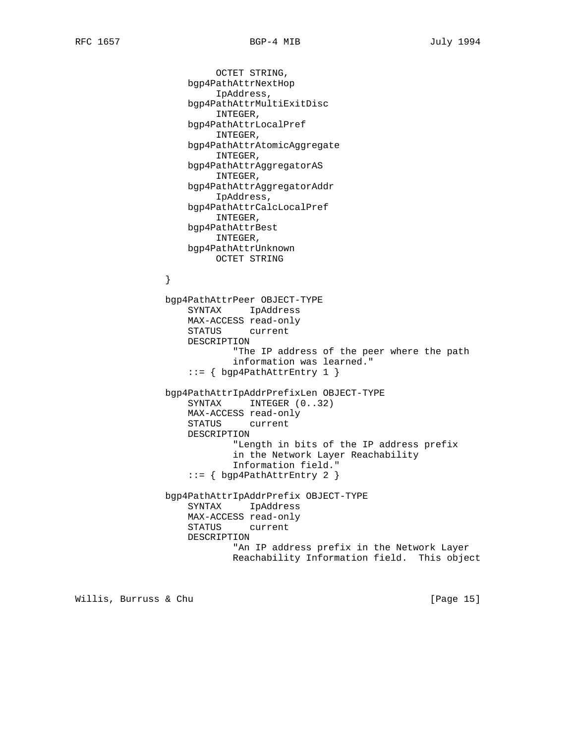}

 OCTET STRING, bgp4PathAttrNextHop IpAddress, bgp4PathAttrMultiExitDisc INTEGER, bgp4PathAttrLocalPref INTEGER, bgp4PathAttrAtomicAggregate INTEGER, bgp4PathAttrAggregatorAS INTEGER, bgp4PathAttrAggregatorAddr IpAddress, bgp4PathAttrCalcLocalPref INTEGER, bgp4PathAttrBest INTEGER, bgp4PathAttrUnknown OCTET STRING bgp4PathAttrPeer OBJECT-TYPE SYNTAX IpAddress MAX-ACCESS read-only STATUS current DESCRIPTION

 "The IP address of the peer where the path information was learned." ::= { bgp4PathAttrEntry 1 }

 bgp4PathAttrIpAddrPrefixLen OBJECT-TYPE SYNTAX INTEGER (0..32) MAX-ACCESS read-only STATUS current DESCRIPTION "Length in bits of the IP address prefix in the Network Layer Reachability Information field." ::= { bgp4PathAttrEntry 2 }

 bgp4PathAttrIpAddrPrefix OBJECT-TYPE SYNTAX IpAddress MAX-ACCESS read-only STATUS current DESCRIPTION "An IP address prefix in the Network Layer Reachability Information field. This object

Willis, Burruss & Chu [Page 15]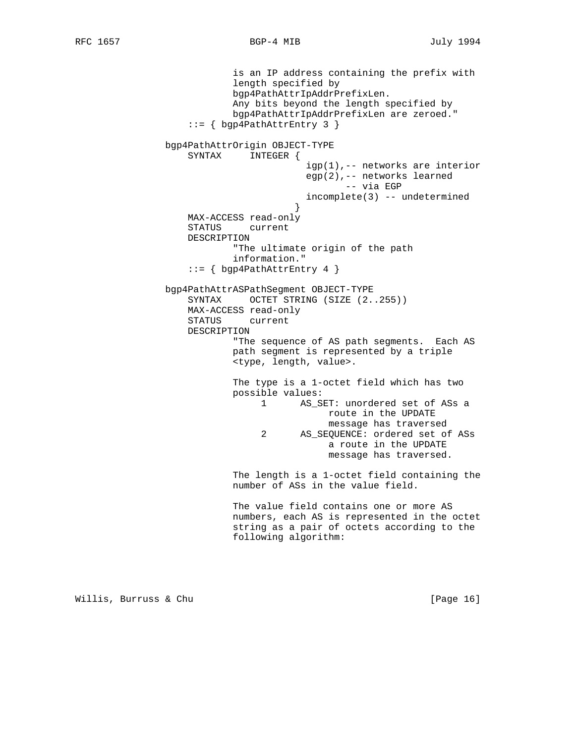is an IP address containing the prefix with length specified by bgp4PathAttrIpAddrPrefixLen. Any bits beyond the length specified by bgp4PathAttrIpAddrPrefixLen are zeroed." ::= { bgp4PathAttrEntry 3 } bgp4PathAttrOrigin OBJECT-TYPE SYNTAX INTEGER { igp(1),-- networks are interior egp(2),-- networks learned -- via EGP incomplete(3) -- undetermined } MAX-ACCESS read-only STATUS current DESCRIPTION "The ultimate origin of the path information."  $::= \{ \text{bgp4PathAttrEntry 4 } \}$  bgp4PathAttrASPathSegment OBJECT-TYPE SYNTAX OCTET STRING (SIZE (2..255)) MAX-ACCESS read-only STATUS current DESCRIPTION "The sequence of AS path segments. Each AS path segment is represented by a triple <type, length, value>. The type is a 1-octet field which has two possible values: 1 AS\_SET: unordered set of ASs a route in the UPDATE message has traversed 2 AS\_SEQUENCE: ordered set of ASs a route in the UPDATE message has traversed. The length is a 1-octet field containing the number of ASs in the value field. The value field contains one or more AS numbers, each AS is represented in the octet string as a pair of octets according to the following algorithm:

Willis, Burruss & Chu and the control of the control of the control of the control of the control of the control of the control of the control of the control of the control of the control of the control of the control of t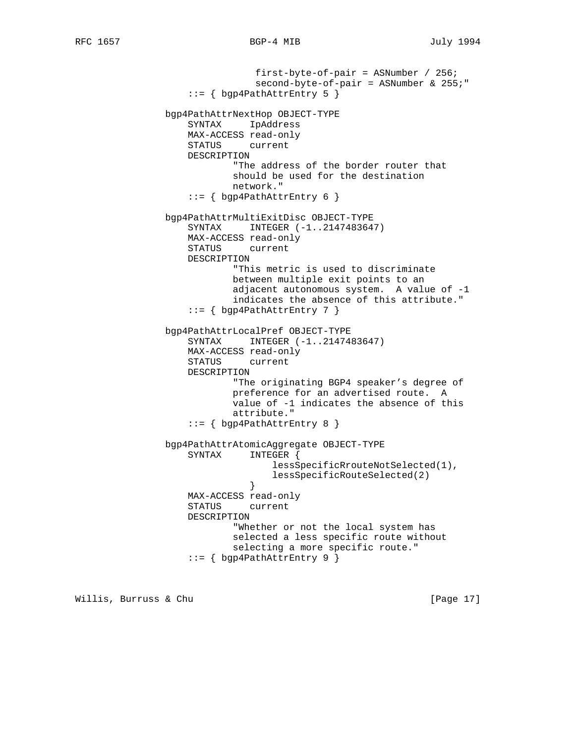```
 first-byte-of-pair = ASNumber / 256;
                               second-byte-of-pair = ASNumber & 255;"
                   ::= { bgp4PathAttrEntry 5 }
               bgp4PathAttrNextHop OBJECT-TYPE
                   SYNTAX IpAddress
                   MAX-ACCESS read-only
                   STATUS current
                   DESCRIPTION
                           "The address of the border router that
                           should be used for the destination
                           network."
                   ::= { bgp4PathAttrEntry 6 }
               bgp4PathAttrMultiExitDisc OBJECT-TYPE
                  SYNTAX INTEGER (-1..2147483647)
                   MAX-ACCESS read-only
                   STATUS current
                   DESCRIPTION
                           "This metric is used to discriminate
                           between multiple exit points to an
                           adjacent autonomous system. A value of -1
                           indicates the absence of this attribute."
                   ::= { bgp4PathAttrEntry 7 }
               bgp4PathAttrLocalPref OBJECT-TYPE
                  SYNTAX INTEGER (-1..2147483647)
                   MAX-ACCESS read-only
                   STATUS current
                   DESCRIPTION
                           "The originating BGP4 speaker's degree of
                           preference for an advertised route. A
                           value of -1 indicates the absence of this
                           attribute."
                   ::= { bgp4PathAttrEntry 8 }
               bgp4PathAttrAtomicAggregate OBJECT-TYPE
                   SYNTAX INTEGER {
                                  lessSpecificRrouteNotSelected(1),
                                  lessSpecificRouteSelected(2)
}
                   MAX-ACCESS read-only
                   STATUS current
                   DESCRIPTION
                           "Whether or not the local system has
                           selected a less specific route without
                           selecting a more specific route."
                   ::= { bgp4PathAttrEntry 9 }
```
Willis, Burruss & Chu **interpretational contracts** (Page 17)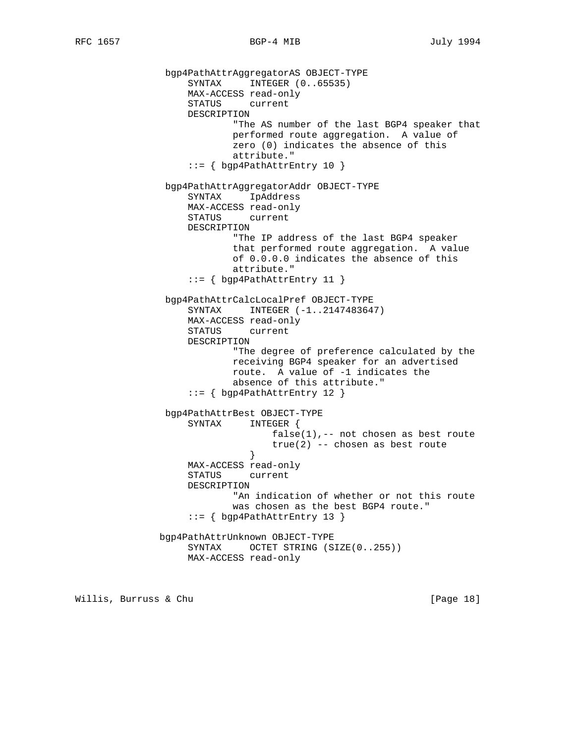```
 bgp4PathAttrAggregatorAS OBJECT-TYPE
                   SYNTAX INTEGER (0..65535)
                   MAX-ACCESS read-only
                   STATUS current
                   DESCRIPTION
                           "The AS number of the last BGP4 speaker that
                           performed route aggregation. A value of
                           zero (0) indicates the absence of this
                           attribute."
                   ::= { bgp4PathAttrEntry 10 }
               bgp4PathAttrAggregatorAddr OBJECT-TYPE
                   SYNTAX IpAddress
                   MAX-ACCESS read-only
                   STATUS current
                   DESCRIPTION
                           "The IP address of the last BGP4 speaker
                           that performed route aggregation. A value
                           of 0.0.0.0 indicates the absence of this
                           attribute."
                   ::= { bgp4PathAttrEntry 11 }
               bgp4PathAttrCalcLocalPref OBJECT-TYPE
                  SYNTAX INTEGER (-1..2147483647)
                   MAX-ACCESS read-only
                   STATUS current
                   DESCRIPTION
                           "The degree of preference calculated by the
                           receiving BGP4 speaker for an advertised
                           route. A value of -1 indicates the
                           absence of this attribute."
                   ::= { bgp4PathAttrEntry 12 }
               bgp4PathAttrBest OBJECT-TYPE
                   SYNTAX INTEGER {
                                 false(1), -- not chosen as best route
                              true(2) -- chosen as best route
}
                   MAX-ACCESS read-only
                   STATUS current
                   DESCRIPTION
                           "An indication of whether or not this route
                           was chosen as the best BGP4 route."
                   ::= { bgp4PathAttrEntry 13 }
              bgp4PathAttrUnknown OBJECT-TYPE
                  SYNTAX OCTET STRING (SIZE(0..255))
                   MAX-ACCESS read-only
```
Willis, Burruss & Chu **interpretational control** [Page 18]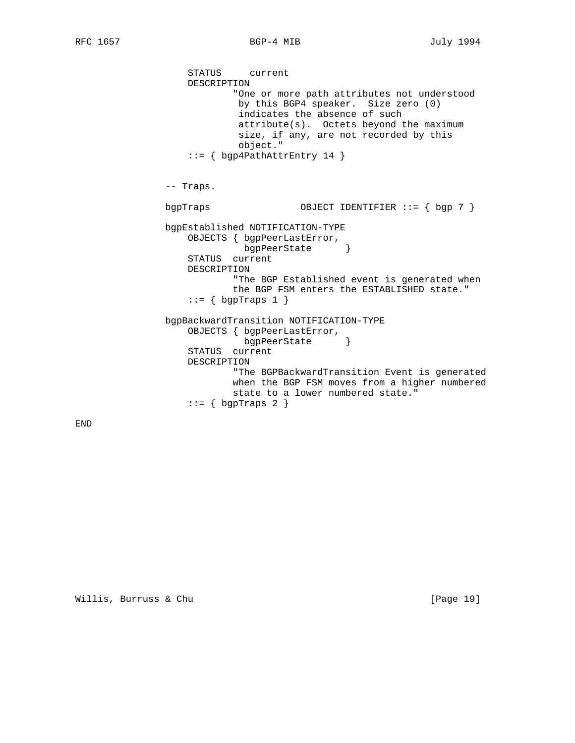```
 STATUS current
    DESCRIPTION
            "One or more path attributes not understood
             by this BGP4 speaker. Size zero (0)
             indicates the absence of such
             attribute(s). Octets beyond the maximum
             size, if any, are not recorded by this
             object."
    ::= { bgp4PathAttrEntry 14 }
-- Traps.
bgpTraps OBJECT IDENTIFIER ::= { bgp 7 }
bgpEstablished NOTIFICATION-TYPE
  OBJECTS { bgpPeerLastError,<br>bgpPeerState }
              bgpPeerState }
    STATUS current
    DESCRIPTION
            "The BGP Established event is generated when
            the BGP FSM enters the ESTABLISHED state."
   ::= \{ bgpTraps 1 \} bgpBackwardTransition NOTIFICATION-TYPE
    OBJECTS { bgpPeerLastError,
              bgpPeerState }
    STATUS current
    DESCRIPTION
            "The BGPBackwardTransition Event is generated
            when the BGP FSM moves from a higher numbered
            state to a lower numbered state."
   ::= \{ \text{bgpTraps } 2 \}
```
END

Willis, Burruss & Chu [Page 19]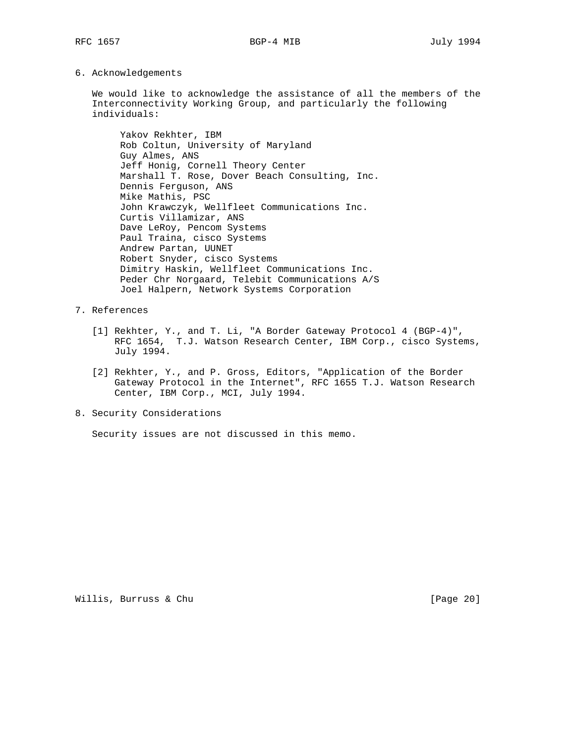6. Acknowledgements

 We would like to acknowledge the assistance of all the members of the Interconnectivity Working Group, and particularly the following individuals:

 Yakov Rekhter, IBM Rob Coltun, University of Maryland Guy Almes, ANS Jeff Honig, Cornell Theory Center Marshall T. Rose, Dover Beach Consulting, Inc. Dennis Ferguson, ANS Mike Mathis, PSC John Krawczyk, Wellfleet Communications Inc. Curtis Villamizar, ANS Dave LeRoy, Pencom Systems Paul Traina, cisco Systems Andrew Partan, UUNET Robert Snyder, cisco Systems Dimitry Haskin, Wellfleet Communications Inc. Peder Chr Norgaard, Telebit Communications A/S Joel Halpern, Network Systems Corporation

- 7. References
	- [1] Rekhter, Y., and T. Li, "A Border Gateway Protocol 4 (BGP-4)", RFC 1654, T.J. Watson Research Center, IBM Corp., cisco Systems, July 1994.
	- [2] Rekhter, Y., and P. Gross, Editors, "Application of the Border Gateway Protocol in the Internet", RFC 1655 T.J. Watson Research Center, IBM Corp., MCI, July 1994.
- 8. Security Considerations

Security issues are not discussed in this memo.